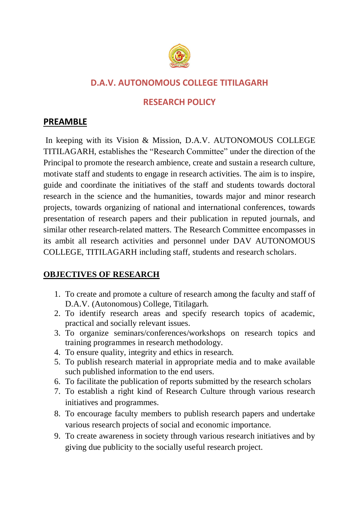

# **D.A.V. AUTONOMOUS COLLEGE TITILAGARH**

## **RESEARCH POLICY**

### **PREAMBLE**

In keeping with its Vision & Mission, D.A.V. AUTONOMOUS COLLEGE TITILAGARH, establishes the "Research Committee" under the direction of the Principal to promote the research ambience, create and sustain a research culture, motivate staff and students to engage in research activities. The aim is to inspire, guide and coordinate the initiatives of the staff and students towards doctoral research in the science and the humanities, towards major and minor research projects, towards organizing of national and international conferences, towards presentation of research papers and their publication in reputed journals, and similar other research-related matters. The Research Committee encompasses in its ambit all research activities and personnel under DAV AUTONOMOUS COLLEGE, TITILAGARH including staff, students and research scholars.

#### **OBJECTIVES OF RESEARCH**

- 1. To create and promote a culture of research among the faculty and staff of D.A.V. (Autonomous) College, Titilagarh.
- 2. To identify research areas and specify research topics of academic, practical and socially relevant issues.
- 3. To organize seminars/conferences/workshops on research topics and training programmes in research methodology.
- 4. To ensure quality, integrity and ethics in research.
- 5. To publish research material in appropriate media and to make available such published information to the end users.
- 6. To facilitate the publication of reports submitted by the research scholars
- 7. To establish a right kind of Research Culture through various research initiatives and programmes.
- 8. To encourage faculty members to publish research papers and undertake various research projects of social and economic importance.
- 9. To create awareness in society through various research initiatives and by giving due publicity to the socially useful research project.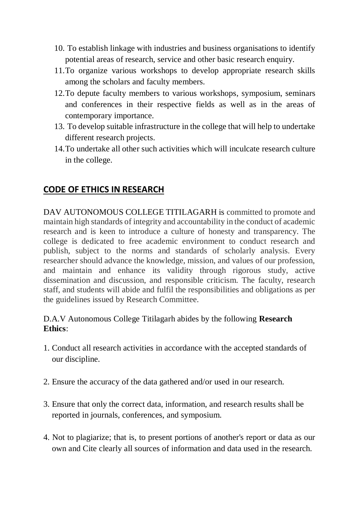- 10. To establish linkage with industries and business organisations to identify potential areas of research, service and other basic research enquiry.
- 11.To organize various workshops to develop appropriate research skills among the scholars and faculty members.
- 12.To depute faculty members to various workshops, symposium, seminars and conferences in their respective fields as well as in the areas of contemporary importance.
- 13. To develop suitable infrastructure in the college that will help to undertake different research projects.
- 14.To undertake all other such activities which will inculcate research culture in the college.

### **CODE OF ETHICS IN RESEARCH**

DAV AUTONOMOUS COLLEGE TITILAGARH is committed to promote and maintain high standards of integrity and accountability in the conduct of academic research and is keen to introduce a culture of honesty and transparency. The college is dedicated to free academic environment to conduct research and publish, subject to the norms and standards of scholarly analysis. Every researcher should advance the knowledge, mission, and values of our profession, and maintain and enhance its validity through rigorous study, active dissemination and discussion, and responsible criticism. The faculty, research staff, and students will abide and fulfil the responsibilities and obligations as per the guidelines issued by Research Committee.

#### D.A.V Autonomous College Titilagarh abides by the following **Research Ethics**:

- 1. Conduct all research activities in accordance with the accepted standards of our discipline.
- 2. Ensure the accuracy of the data gathered and/or used in our research.
- 3. Ensure that only the correct data, information, and research results shall be reported in journals, conferences, and symposium.
- 4. Not to plagiarize; that is, to present portions of another's report or data as our own and Cite clearly all sources of information and data used in the research.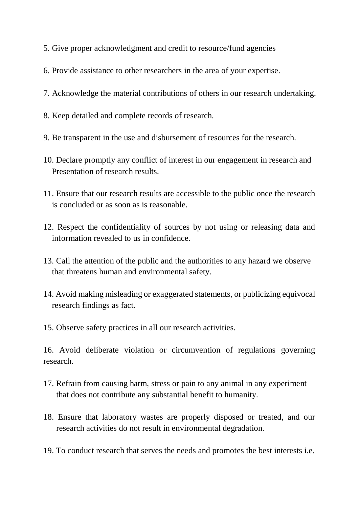- 5. Give proper acknowledgment and credit to resource/fund agencies
- 6. Provide assistance to other researchers in the area of your expertise.
- 7. Acknowledge the material contributions of others in our research undertaking.
- 8. Keep detailed and complete records of research.
- 9. Be transparent in the use and disbursement of resources for the research.
- 10. Declare promptly any conflict of interest in our engagement in research and Presentation of research results.
- 11. Ensure that our research results are accessible to the public once the research is concluded or as soon as is reasonable.
- 12. Respect the confidentiality of sources by not using or releasing data and information revealed to us in confidence.
- 13. Call the attention of the public and the authorities to any hazard we observe that threatens human and environmental safety.
- 14. Avoid making misleading or exaggerated statements, or publicizing equivocal research findings as fact.
- 15. Observe safety practices in all our research activities.

16. Avoid deliberate violation or circumvention of regulations governing research.

- 17. Refrain from causing harm, stress or pain to any animal in any experiment that does not contribute any substantial benefit to humanity.
- 18. Ensure that laboratory wastes are properly disposed or treated, and our research activities do not result in environmental degradation.
- 19. To conduct research that serves the needs and promotes the best interests i.e.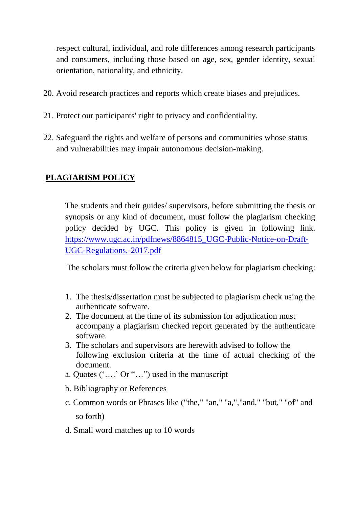respect cultural, individual, and role differences among research participants and consumers, including those based on age, sex, gender identity, sexual orientation, nationality, and ethnicity.

- 20. Avoid research practices and reports which create biases and prejudices.
- 21. Protect our participants' right to privacy and confidentiality.
- 22. Safeguard the rights and welfare of persons and communities whose status and vulnerabilities may impair autonomous decision-making.

#### **PLAGIARISM POLICY**

The students and their guides/ supervisors, before submitting the thesis or synopsis or any kind of document, must follow the plagiarism checking policy decided by UGC. This policy is given in following link. [https://www.ugc.ac.in/pdfnews/8864815\\_UGC-Public-Notice-on-Draft-](https://www.ugc.ac.in/pdfnews/8864815_UGC-Public-Notice-on-Draft-UGC-Regulations,-2017.pdf)[UGC-Regulations,-2017.pdf](https://www.ugc.ac.in/pdfnews/8864815_UGC-Public-Notice-on-Draft-UGC-Regulations,-2017.pdf)

The scholars must follow the criteria given below for plagiarism checking:

- 1. The thesis/dissertation must be subjected to plagiarism check using the authenticate software.
- 2. The document at the time of its submission for adjudication must accompany a plagiarism checked report generated by the authenticate software.
- 3. The scholars and supervisors are herewith advised to follow the following exclusion criteria at the time of actual checking of the document.
- a. Quotes ('….' Or "…") used in the manuscript
- b. Bibliography or References
- c. Common words or Phrases like ("the," "an," "a,","and," "but," "of" and so forth)
- d. Small word matches up to 10 words